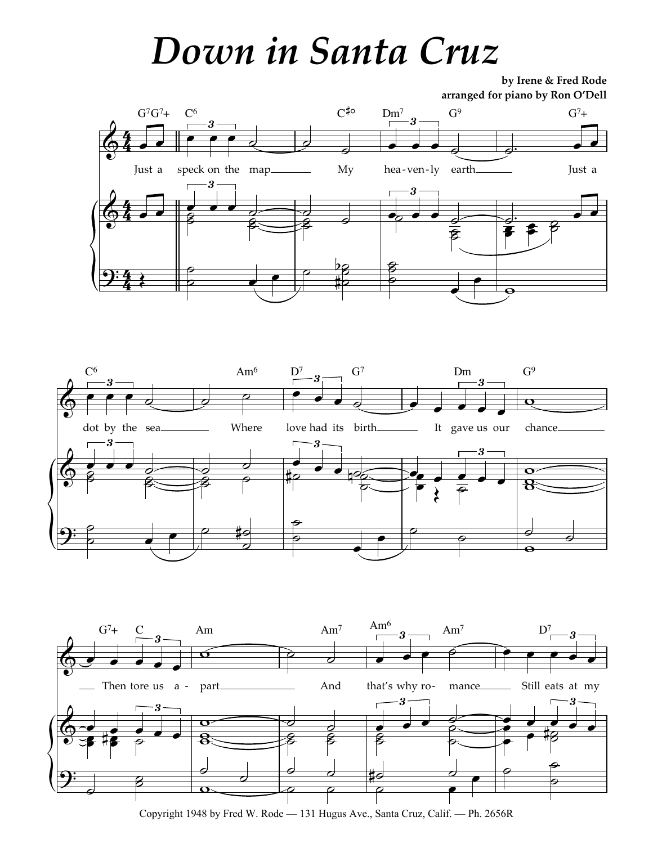## Down in Santa Cruz

by Irene & Fred Rode arranged for piano by Ron O'Dell







Copyright 1948 by Fred W. Rode — 131 Hugus Ave., Santa Cruz, Calif. — Ph. 2656R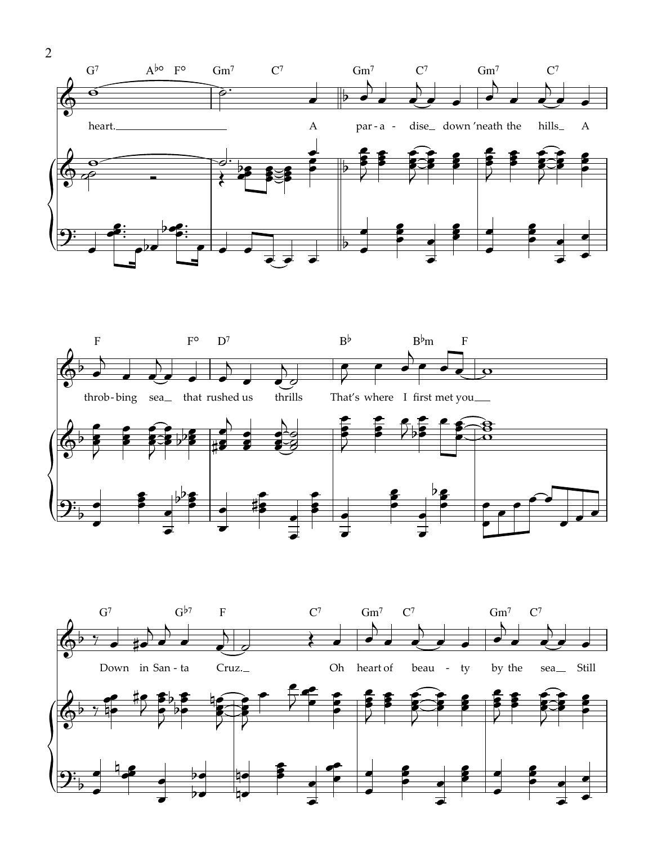



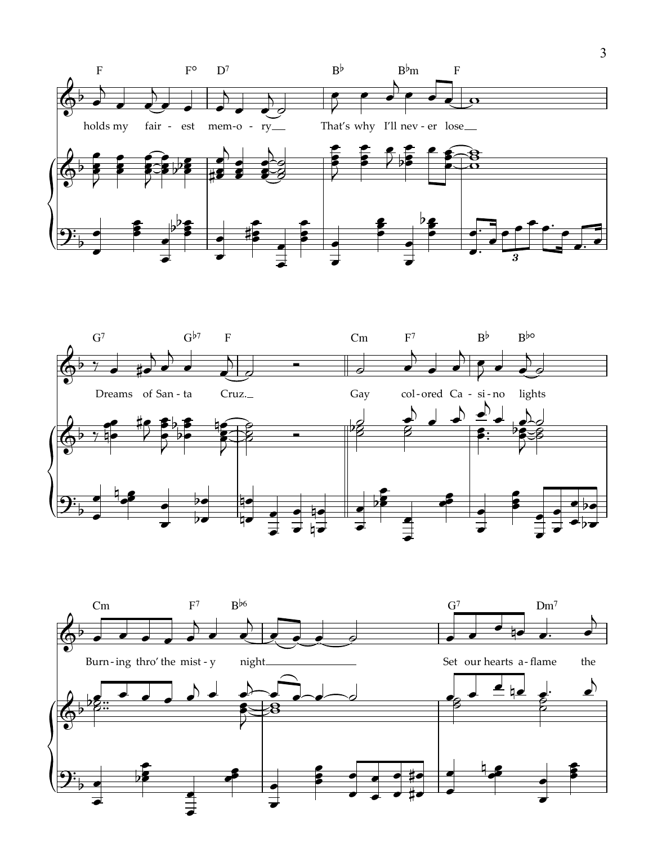